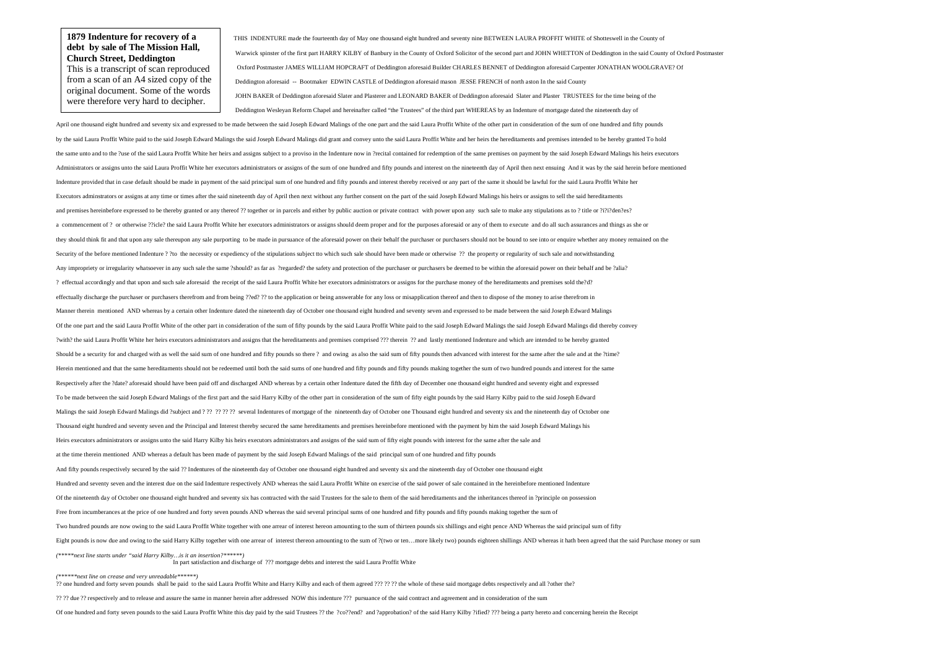THIS INDENTURE made the fourteenth day of May one thousand eight hundred and seventy nine BETWEEN LAURA PROFFIT WHITE of Shotteswell in the County of Warwick spinster of the first part HARRY KILBY of Banbury in the County of Oxford Solicitor of the second part and JOHN WHETTON of Deddington in the said County of Oxford Postmaster Oxford Postmaster JAMES WILLIAM HOPCRAFT of Deddington aforesaid Builder CHARLES BENNET of Deddington aforesaid Carpenter JONATHAN WOOLGRAVE? Of Deddington aforesaid -- Bootmaker EDWIN CASTLE of Deddington aforesaid mason JESSE FRENCH of north aston In the said County JOHN BAKER of Deddington aforesaid Slater and Plasterer and LEONARD BAKER of Deddington aforesaid Slater and Plaster TRUSTEES for the time being of the Deddington Wesleyan Reform Chapel and hereinafter called "the Trustees" of the third part WHEREAS by an Indenture of mortgage dated the nineteenth day of

April one thousand eight hundred and seventy six and expressed to be made between the said Joseph Edward Malings of the one part and the said Laura Proffit White of the other part in consideration of the sum of one hundred by the said Laura Proffit White paid to the said Joseph Edward Malings the said Joseph Edward Malings did grant and convey unto the said Laura Proffit White and her heirs the hereditaments and premises intended to be hereb the same unto and to the ?use of the said Laura Proffit White her heirs and assigns subject to a proviso in the Indenture now in ?recital contained for redemption of the same premises on payment by the said Joseph Edward M Administrators or assigns unto the said Laura Proffit White her executors administrators or assigns of the sum of one hundred and fifty pounds and interest on the nineteenth day of April then next ensuing And it was by the Indenture provided that in case default should be made in payment of the said principal sum of one hundred and fifty pounds and interest thereby received or any part of the same it should be lawful for the said Laura Proff Executors adminstrators or assigns at any time or times after the said nineteenth day of April then next without any further consent on the part of the said Joseph Edward Malings his heirs or assigns to sell the said hered and premises hereinbefore expressed to be thereby granted or any thereof ?? together or in parcels and either by public auction or private contract with power upon any such sale to make any stipulations as to ? title or ?i a commencement of ? or otherwise ??icle? the said Laura Proffit White her executors administrators or assigns should deem proper and for the purposes aforesaid or any of them to execute and do all such assurances and thing they should think fit and that upon any sale thereupon any sale purporting to be made in pursuance of the aforesaid power on their behalf the purchaser or purchasers should not be bound to see into or enquire whether any m Security of the before mentioned Indenture ? ?to the necessity or expediency of the stipulations subject tto which such sale should have been made or otherwise ?? the property or regularity of such sale and notwithstanding Any impropriety or irregularity whatsoever in any such sale the same ?should? as far as ?regarded? the safety and protection of the purchaser or purchasers be deemed to be within the aforesaid power on their behalf and be ? effectual accordingly and that upon and such sale aforesaid the receipt of the said Laura Proffit White her executors administrators or assigns for the purchase money of the hereditaments and premises sold the?d? effectually discharge the purchaser or purchasers therefrom and from being ??ed? ?? to the application or being answerable for any loss or misapplication thereof and then to dispose of the money to arise therefrom in Manner therein mentioned AND whereas by a certain other Indenture dated the nineteenth day of October one thousand eight hundred and seventy seven and expressed to be made between the said Joseph Edward Malings Of the one part and the said Laura Proffit White of the other part in consideration of the sum of fifty pounds by the said Laura Proffit White paid to the said Joseph Edward Malings the said Joseph Edward Malings did there ?with? the said Laura Proffit White her heirs executors administrators and assigns that the hereditaments and premises comprised ??? therein ?? and lastly mentioned Indenture and which are intended to be hereby granted Should be a security for and charged with as well the said sum of one hundred and fifty pounds so there? and owing as also the said sum of fifty pounds then advanced with interest for the same after the sale and at the ?ti Herein mentioned and that the same hereditaments should not be redeemed until both the said sums of one hundred and fifty pounds and fifty pounds making together the sum of two hundred pounds and interest for the same Respectively after the ?date? aforesaid should have been paid off and discharged AND whereas by a certain other Indenture dated the fifth day of December one thousand eight hundred and seventy eight and expressed To be made between the said Joseph Edward Malings of the first part and the said Harry Kilby of the other part in consideration of the sum of fifty eight pounds by the said Harry Kilby paid to the said Joseph Edward Malings the said Joseph Edward Malings did ?subject and ? ?? ?? ?? ?? several Indentures of mortgage of the nineteenth day of October one Thousand eight hundred and seventy six and the nineteenth day of October one Thousand eight hundred and seventy seven and the Principal and Interest thereby secured the same hereditaments and premises hereinbefore mentioned with the payment by him the said Joseph Edward Malings his Heirs executors administrators or assigns unto the said Harry Kilby his heirs executors administrators and assigns of the said sum of fifty eight pounds with interest for the same after the sale and at the time therein mentioned AND whereas a default has been made of payment by the said Joseph Edward Malings of the said principal sum of one hundred and fifty pounds And fifty pounds respectively secured by the said ?? Indentures of the nineteenth day of October one thousand eight hundred and seventy six and the nineteenth day of October one thousand eight Hundred and seventy seven and the interest due on the said Indenture respectively AND whereas the said Laura Proffit White on exercise of the said power of sale contained in the hereinbefore mentioned Indenture Of the nineteenth day of October one thousand eight hundred and seventy six has contracted with the said Trustees for the sale to them of the said hereditaments and the inheritances thereof in ?principle on possession Free from incumberances at the price of one hundred and forty seven pounds AND whereas the said several principal sums of one hundred and fifty pounds and fifty pounds making together the sum of Two hundred pounds are now owing to the said Laura Proffit White together with one arrear of interest hereon amounting to the sum of thirteen pounds six shillings and eight pence AND Whereas the said principal sum of fifty Eight pounds is now due and owing to the said Harry Kilby together with one arrear of interest thereon amounting to the sum of ? (two or ten...more likely two) pounds eighteen shillings AND whereas it hath been agreed that *(\*\*\*\*\*next line starts under "said Harry Kilby…is it an insertion?\*\*\*\*\*\*)* In part satisfaction and discharge of ??? mortgage debts and interest the said Laura Proffit White

*(\*\*\*\*\*\*next line on crease and very unreadable\*\*\*\*\*\*)* 

?? one hundred and forty seven pounds shall be paid to the said Laura Proffit White and Harry Kilby and each of them agreed ??? ?? ?? the whole of these said mortgage debts respectively and all ?other the?

?? ?? due ?? respectively and to release and assure the same in manner herein after addressed NOW this indenture ??? pursuance of the said contract and agreement and in consideration of the sum

Of one hundred and forty seven pounds to the said Laura Proffit White this day paid by the said Trustees ?? the ?co??end? and ?approbation? of the said Harry Kilby ?ified? ??? being a party hereto and concerning herein the

## **1879 Indenture for recovery of a debt by sale of The Mission Hall, Church Street, Deddington**

 This is a transcript of scan reproduced from a scan of an A4 sized copy of the original document. Some of the words were therefore very hard to decipher.